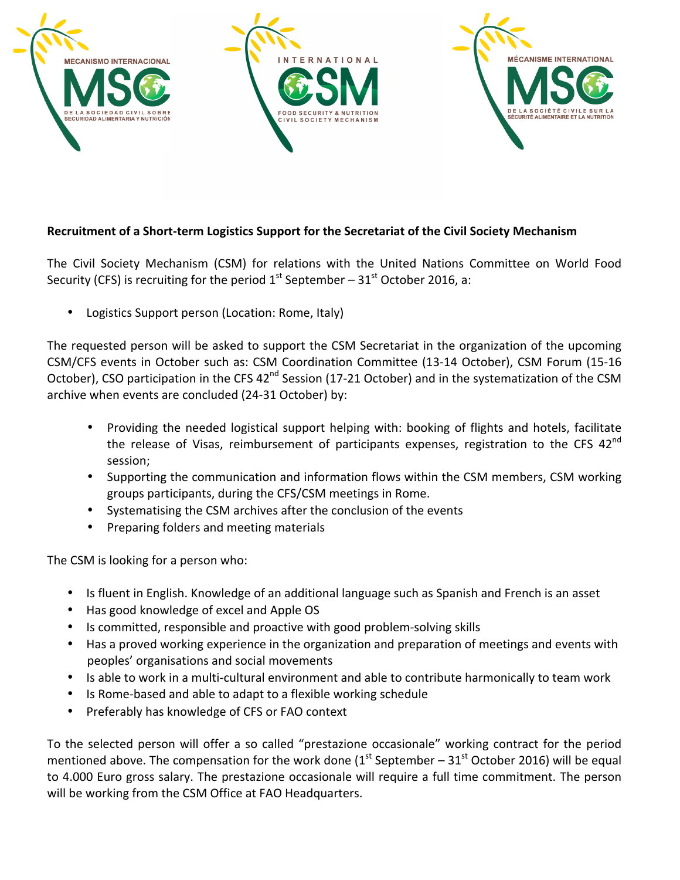

## Recruitment of a Short-term Logistics Support for the Secretariat of the Civil Society Mechanism

The Civil Society Mechanism (CSM) for relations with the United Nations Committee on World Food Security (CFS) is recruiting for the period  $1<sup>st</sup>$  September – 31<sup>st</sup> October 2016, a:

Logistics Support person (Location: Rome, Italy)

The requested person will be asked to support the CSM Secretariat in the organization of the upcoming CSM/CFS events in October such as: CSM Coordination Committee (13-14 October), CSM Forum (15-16 October), CSO participation in the CFS 42<sup>nd</sup> Session (17-21 October) and in the systematization of the CSM archive when events are concluded (24-31 October) by:

- Providing the needed logistical support helping with: booking of flights and hotels, facilitate the release of Visas, reimbursement of participants expenses, registration to the CFS  $42^{nd}$ session;
- Supporting the communication and information flows within the CSM members, CSM working groups participants, during the CFS/CSM meetings in Rome.
- Systematising the CSM archives after the conclusion of the events
- Preparing folders and meeting materials

The CSM is looking for a person who:

- Is fluent in English. Knowledge of an additional language such as Spanish and French is an asset
- Has good knowledge of excel and Apple OS
- Is committed, responsible and proactive with good problem-solving skills
- Has a proved working experience in the organization and preparation of meetings and events with peoples' organisations and social movements
- Is able to work in a multi-cultural environment and able to contribute harmonically to team work
- Is Rome-based and able to adapt to a flexible working schedule
- Preferably has knowledge of CFS or FAO context

To the selected person will offer a so called "prestazione occasionale" working contract for the period mentioned above. The compensation for the work done  $(1^{st}$  September – 31st October 2016) will be equal to 4.000 Euro gross salary. The prestazione occasionale will require a full time commitment. The person will be working from the CSM Office at FAO Headquarters.